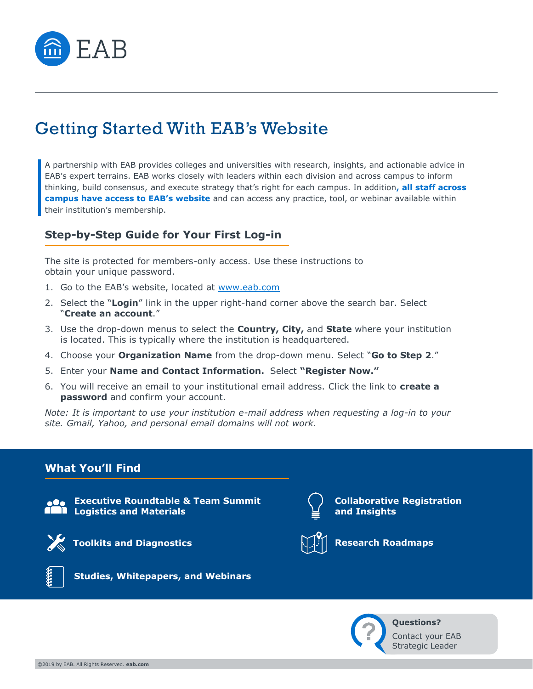

# Getting Started With EAB's Website

A partnership with EAB provides colleges and universities with research, insights, and actionable advice in EAB's expert terrains. EAB works closely with leaders within each division and across campus to inform thinking, build consensus, and execute strategy that's right for each campus. In addition**, all staff across campus have access to EAB's website** and can access any practice, tool, or webinar available within their institution's membership.

### **Step-by-Step Guide for Your First Log-in**

The site is protected for members-only access. Use these instructions to obtain your unique password.

- 1. Go to the EAB's website, located at [www.eab.com](http://www.eab.com/)
- 2. Select the "**Login**" link in the upper right-hand corner above the search bar. Select "**Create an account**."
- 3. Use the drop-down menus to select the **Country, City,** and **State** where your institution is located. This is typically where the institution is headquartered.
- 4. Choose your **Organization Name** from the drop-down menu. Select "**Go to Step 2**."
- 5. Enter your **Name and Contact Information.** Select **"Register Now."**
- 6. You will receive an email to your institutional email address. Click the link to **create a password** and confirm your account.

*Note: It is important to use your institution e-mail address when requesting a log-in to your site. Gmail, Yahoo, and personal email domains will not work.*

### **What You'll Find**



**Executive Roundtable & Team Summit Logistics and Materials**



**Toolkits and Diagnostics Research Roadmaps** 



**Studies, Whitepapers, and Webinars**



**Collaborative Registration and Insights**





**Questions?**  Contact your EAB Strategic Leader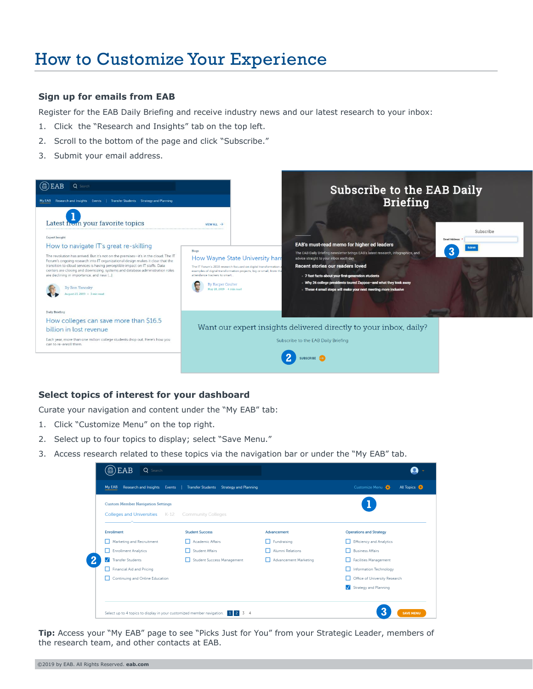# How to Customize Your Experience

#### **Sign up for emails from EAB**

Register for the EAB Daily Briefing and receive industry news and our latest research to your inbox:

- 1. Click the "Research and Insights" tab on the top left.
- 2. Scroll to the bottom of the page and click "Subscribe."
- 3. Submit your email address.



#### **Select topics of interest for your dashboard**

Curate your navigation and content under the "My EAB" tab:

- 1. Click "Customize Menu" on the top right.
- 2. Select up to four topics to display; select "Save Menu."
- 3. Access research related to these topics via the navigation bar or under the "My EAB" tab.

| <b>Custom Member Navigation Settings</b> |                                            |                            |                                |  |
|------------------------------------------|--------------------------------------------|----------------------------|--------------------------------|--|
| Colleges and Universities K-12           | <b>Community Colleges</b>                  |                            |                                |  |
| Enrollment                               | <b>Student Success</b>                     | Advancement                | <b>Operations and Strategy</b> |  |
| Marketing and Recruitment                | Academic Affairs                           | Fundraising                | Efficiency and Analytics       |  |
| Enrollment Analytics                     | Student Affairs                            | Alumni Relations           | <b>Business Affairs</b>        |  |
| Transfer Students                        | Student Success Management<br>$\mathbf{L}$ | Advancement Marketing<br>п | Facilities Management          |  |
| Financial Aid and Pricing                |                                            |                            | Information Technology         |  |
| Continuing and Online Education          |                                            |                            | Office of University Research  |  |
|                                          |                                            |                            | Strategy and Planning          |  |

**Tip:** Access your "My EAB" page to see "Picks Just for You" from your Strategic Leader, members of the research team, and other contacts at EAB.